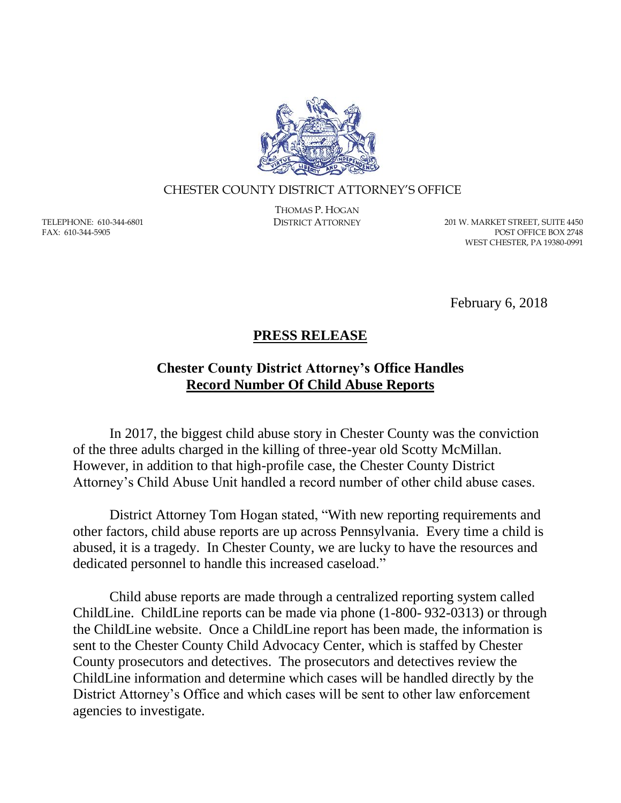

## CHESTER COUNTY DISTRICT ATTORNEY'S OFFICE

TELEPHONE: 610-344-6801 FAX: 610-344-5905

THOMAS P. HOGAN

DISTRICT ATTORNEY 201 W. MARKET STREET, SUITE 4450 POST OFFICE BOX 2748 WEST CHESTER, PA 19380-0991

February 6, 2018

## **PRESS RELEASE**

## **Chester County District Attorney's Office Handles Record Number Of Child Abuse Reports**

In 2017, the biggest child abuse story in Chester County was the conviction of the three adults charged in the killing of three-year old Scotty McMillan. However, in addition to that high-profile case, the Chester County District Attorney's Child Abuse Unit handled a record number of other child abuse cases.

District Attorney Tom Hogan stated, "With new reporting requirements and other factors, child abuse reports are up across Pennsylvania. Every time a child is abused, it is a tragedy. In Chester County, we are lucky to have the resources and dedicated personnel to handle this increased caseload."

Child abuse reports are made through a centralized reporting system called ChildLine. ChildLine reports can be made via phone (1-800- 932-0313) or through the ChildLine website. Once a ChildLine report has been made, the information is sent to the Chester County Child Advocacy Center, which is staffed by Chester County prosecutors and detectives. The prosecutors and detectives review the ChildLine information and determine which cases will be handled directly by the District Attorney's Office and which cases will be sent to other law enforcement agencies to investigate.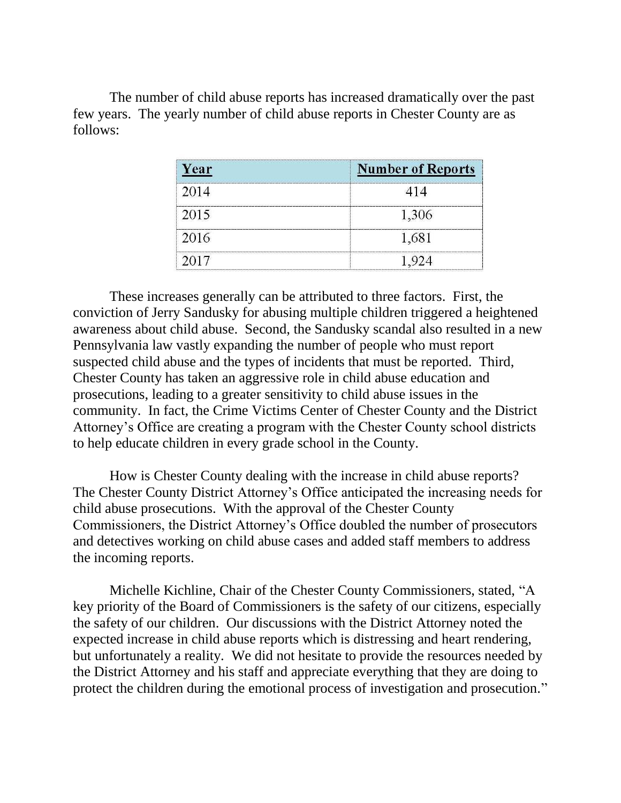The number of child abuse reports has increased dramatically over the past few years. The yearly number of child abuse reports in Chester County are as follows:

| Year | <b>Number of Reports</b> |
|------|--------------------------|
| 2014 |                          |
| 2015 | 1,306                    |
| 2016 | 1,681                    |
| 2017 |                          |

These increases generally can be attributed to three factors. First, the conviction of Jerry Sandusky for abusing multiple children triggered a heightened awareness about child abuse. Second, the Sandusky scandal also resulted in a new Pennsylvania law vastly expanding the number of people who must report suspected child abuse and the types of incidents that must be reported. Third, Chester County has taken an aggressive role in child abuse education and prosecutions, leading to a greater sensitivity to child abuse issues in the community. In fact, the Crime Victims Center of Chester County and the District Attorney's Office are creating a program with the Chester County school districts to help educate children in every grade school in the County.

How is Chester County dealing with the increase in child abuse reports? The Chester County District Attorney's Office anticipated the increasing needs for child abuse prosecutions. With the approval of the Chester County Commissioners, the District Attorney's Office doubled the number of prosecutors and detectives working on child abuse cases and added staff members to address the incoming reports.

Michelle Kichline, Chair of the Chester County Commissioners, stated, "A key priority of the Board of Commissioners is the safety of our citizens, especially the safety of our children. Our discussions with the District Attorney noted the expected increase in child abuse reports which is distressing and heart rendering, but unfortunately a reality. We did not hesitate to provide the resources needed by the District Attorney and his staff and appreciate everything that they are doing to protect the children during the emotional process of investigation and prosecution."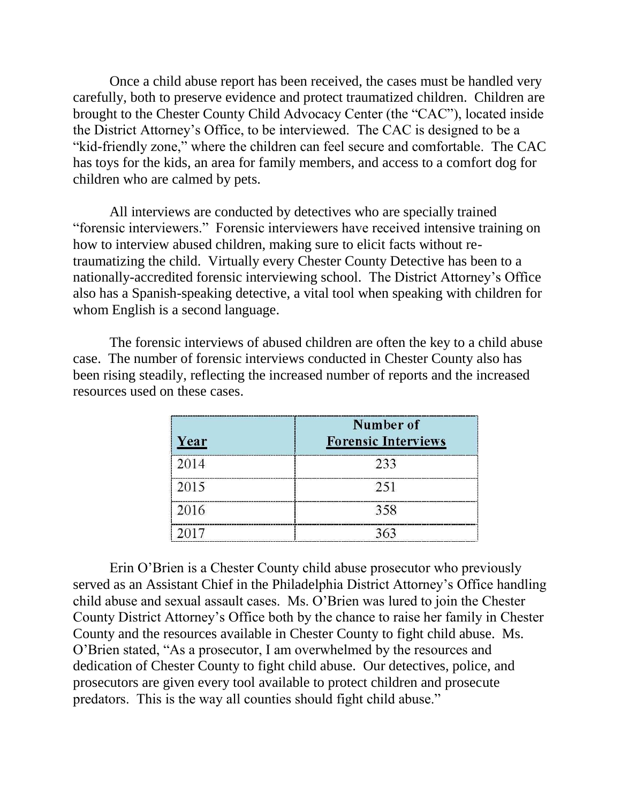Once a child abuse report has been received, the cases must be handled very carefully, both to preserve evidence and protect traumatized children. Children are brought to the Chester County Child Advocacy Center (the "CAC"), located inside the District Attorney's Office, to be interviewed. The CAC is designed to be a "kid-friendly zone," where the children can feel secure and comfortable. The CAC has toys for the kids, an area for family members, and access to a comfort dog for children who are calmed by pets.

All interviews are conducted by detectives who are specially trained "forensic interviewers." Forensic interviewers have received intensive training on how to interview abused children, making sure to elicit facts without retraumatizing the child. Virtually every Chester County Detective has been to a nationally-accredited forensic interviewing school. The District Attorney's Office also has a Spanish-speaking detective, a vital tool when speaking with children for whom English is a second language.

The forensic interviews of abused children are often the key to a child abuse case. The number of forensic interviews conducted in Chester County also has been rising steadily, reflecting the increased number of reports and the increased resources used on these cases.

| Year | Number of<br><b>Forensic Interviews</b> |
|------|-----------------------------------------|
| 2014 | 233                                     |
| 2015 | 251                                     |
| 2016 | 358                                     |
| 2017 |                                         |

Erin O'Brien is a Chester County child abuse prosecutor who previously served as an Assistant Chief in the Philadelphia District Attorney's Office handling child abuse and sexual assault cases. Ms. O'Brien was lured to join the Chester County District Attorney's Office both by the chance to raise her family in Chester County and the resources available in Chester County to fight child abuse. Ms. O'Brien stated, "As a prosecutor, I am overwhelmed by the resources and dedication of Chester County to fight child abuse. Our detectives, police, and prosecutors are given every tool available to protect children and prosecute predators. This is the way all counties should fight child abuse."